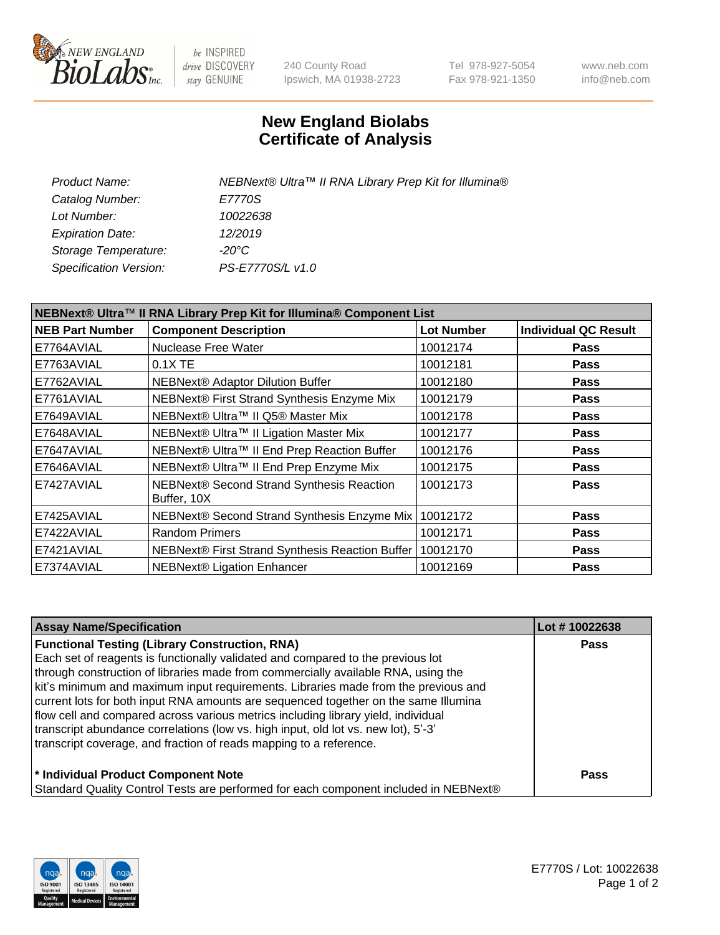

be INSPIRED drive DISCOVERY stay GENUINE

240 County Road Ipswich, MA 01938-2723 Tel 978-927-5054 Fax 978-921-1350 www.neb.com info@neb.com

## **New England Biolabs Certificate of Analysis**

| NEBNext® Ultra™ II RNA Library Prep Kit for Illumina® |
|-------------------------------------------------------|
| E7770S                                                |
| 10022638                                              |
| 12/2019                                               |
| -20°C                                                 |
| PS-E7770S/L v1.0                                      |
|                                                       |

| NEBNext® Ultra™ II RNA Library Prep Kit for Illumina® Component List |                                                            |                   |                             |  |  |
|----------------------------------------------------------------------|------------------------------------------------------------|-------------------|-----------------------------|--|--|
| <b>NEB Part Number</b>                                               | <b>Component Description</b>                               | <b>Lot Number</b> | <b>Individual QC Result</b> |  |  |
| E7764AVIAL                                                           | Nuclease Free Water                                        | 10012174          | <b>Pass</b>                 |  |  |
| E7763AVIAL                                                           | $0.1X$ TE                                                  | 10012181          | <b>Pass</b>                 |  |  |
| E7762AVIAL                                                           | <b>NEBNext® Adaptor Dilution Buffer</b>                    | 10012180          | <b>Pass</b>                 |  |  |
| E7761AVIAL                                                           | NEBNext® First Strand Synthesis Enzyme Mix                 | 10012179          | <b>Pass</b>                 |  |  |
| E7649AVIAL                                                           | NEBNext® Ultra™ II Q5® Master Mix                          | 10012178          | <b>Pass</b>                 |  |  |
| E7648AVIAL                                                           | NEBNext® Ultra™ II Ligation Master Mix                     | 10012177          | <b>Pass</b>                 |  |  |
| E7647AVIAL                                                           | NEBNext® Ultra™ II End Prep Reaction Buffer                | 10012176          | <b>Pass</b>                 |  |  |
| E7646AVIAL                                                           | NEBNext® Ultra™ II End Prep Enzyme Mix                     | 10012175          | <b>Pass</b>                 |  |  |
| E7427AVIAL                                                           | NEBNext® Second Strand Synthesis Reaction<br>Buffer, 10X   | 10012173          | <b>Pass</b>                 |  |  |
| E7425AVIAL                                                           | NEBNext® Second Strand Synthesis Enzyme Mix   10012172     |                   | <b>Pass</b>                 |  |  |
| E7422AVIAL                                                           | <b>Random Primers</b>                                      | 10012171          | <b>Pass</b>                 |  |  |
| E7421AVIAL                                                           | NEBNext® First Strand Synthesis Reaction Buffer   10012170 |                   | <b>Pass</b>                 |  |  |
| E7374AVIAL                                                           | NEBNext® Ligation Enhancer                                 | 10012169          | <b>Pass</b>                 |  |  |

| <b>Assay Name/Specification</b>                                                      | Lot #10022638 |
|--------------------------------------------------------------------------------------|---------------|
| <b>Functional Testing (Library Construction, RNA)</b>                                | <b>Pass</b>   |
| Each set of reagents is functionally validated and compared to the previous lot      |               |
| through construction of libraries made from commercially available RNA, using the    |               |
| kit's minimum and maximum input requirements. Libraries made from the previous and   |               |
| current lots for both input RNA amounts are sequenced together on the same Illumina  |               |
| flow cell and compared across various metrics including library yield, individual    |               |
| transcript abundance correlations (low vs. high input, old lot vs. new lot), 5'-3'   |               |
| transcript coverage, and fraction of reads mapping to a reference.                   |               |
| * Individual Product Component Note                                                  | <b>Pass</b>   |
| Standard Quality Control Tests are performed for each component included in NEBNext® |               |